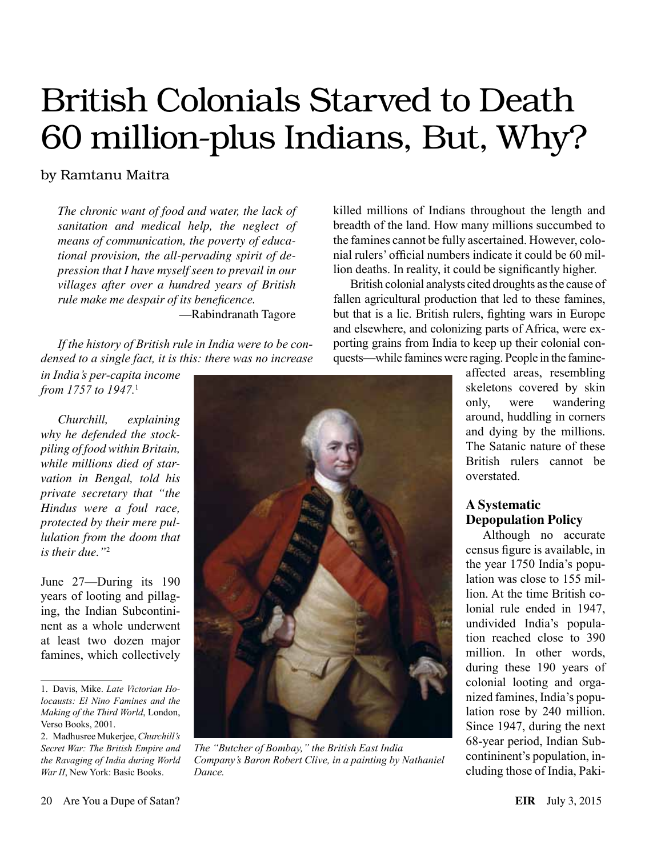# British Colonials Starved to Death 60 million-plus Indians, But, Why?

# by Ramtanu Maitra

*The chronic want of food and water, the lack of sanitation and medical help, the neglect of means of communication, the poverty of educational provision, the all-pervading spirit of depression that I have myself seen to prevail in our villages after over a hundred years of British rule make me despair of its beneficence.* —Rabindranath Tagore

*If the history of British rule in India were to be condensed to a single fact, it is this: there was no increase* 

*in India's per-capita income from 1757 to 1947.*<sup>1</sup>

*Churchill, explaining why he defended the stockpiling of food within Britain, while millions died of starvation in Bengal, told his private secretary that "the Hindus were a foul race, protected by their mere pullulation from the doom that is their due."*<sup>2</sup>

June 27—During its 190 years of looting and pillaging, the Indian Subcontininent as a whole underwent at least two dozen major famines, which collectively

2. Madhusree Mukerjee, *Churchill's Secret War: The British Empire and the Ravaging of India during World War II*, New York: Basic Books.



*The "Butcher of Bombay," the British East India Company's Baron Robert Clive, in a painting by Nathaniel Dance.*

killed millions of Indians throughout the length and breadth of the land. How many millions succumbed to the famines cannot be fully ascertained. However, colonial rulers' official numbers indicate it could be 60 million deaths. In reality, it could be significantly higher.

British colonial analysts cited droughts as the cause of fallen agricultural production that led to these famines, but that is a lie. British rulers, fighting wars in Europe and elsewhere, and colonizing parts of Africa, were exporting grains from India to keep up their colonial conquests—while famines were raging. People in the famine-

> affected areas, resembling skeletons covered by skin only, were wandering around, huddling in corners and dying by the millions. The Satanic nature of these British rulers cannot be overstated.

### **A Systematic Depopulation Policy**

Although no accurate census figure is available, in the year 1750 India's population was close to 155 million. At the time British colonial rule ended in 1947, undivided India's population reached close to 390 million. In other words, during these 190 years of colonial looting and organized famines, India's population rose by 240 million. Since 1947, during the next 68-year period, Indian Subcontininent's population, including those of India, Paki-

<sup>1.</sup> Davis, Mike. *Late Victorian Holocausts: El Nino Famines and the Making of the Third World*, London, Verso Books, 2001.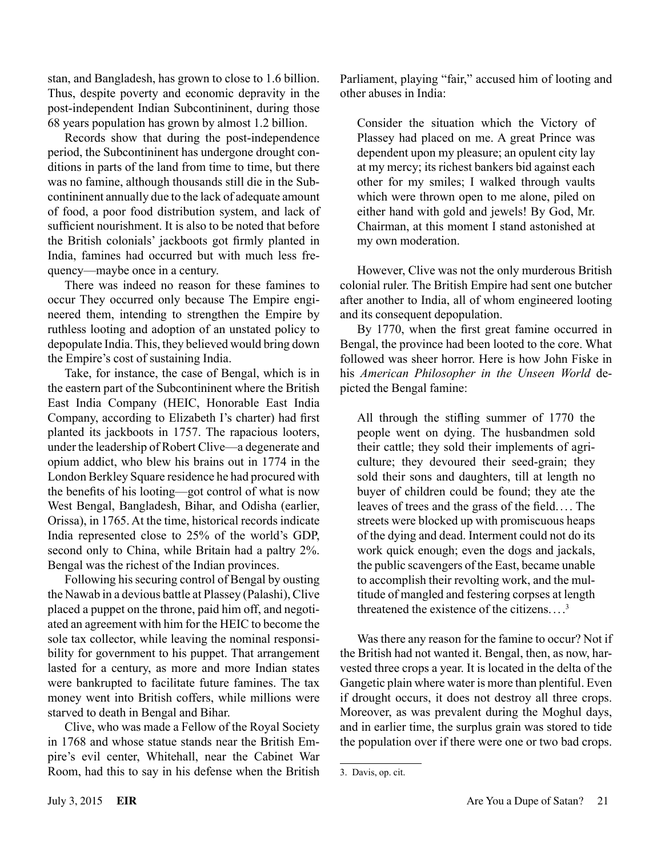stan, and Bangladesh, has grown to close to 1.6 billion. Thus, despite poverty and economic depravity in the post-independent Indian Subcontininent, during those 68 years population has grown by almost 1.2 billion.

Records show that during the post-independence period, the Subcontininent has undergone drought conditions in parts of the land from time to time, but there was no famine, although thousands still die in the Subcontininent annually due to the lack of adequate amount of food, a poor food distribution system, and lack of sufficient nourishment. It is also to be noted that before the British colonials' jackboots got firmly planted in India, famines had occurred but with much less frequency—maybe once in a century.

There was indeed no reason for these famines to occur They occurred only because The Empire engineered them, intending to strengthen the Empire by ruthless looting and adoption of an unstated policy to depopulate India. This, they believed would bring down the Empire's cost of sustaining India.

Take, for instance, the case of Bengal, which is in the eastern part of the Subcontininent where the British East India Company (HEIC, Honorable East India Company, according to Elizabeth I's charter) had first planted its jackboots in 1757. The rapacious looters, under the leadership of Robert Clive—a degenerate and opium addict, who blew his brains out in 1774 in the London Berkley Square residence he had procured with the benefits of his looting—got control of what is now West Bengal, Bangladesh, Bihar, and Odisha (earlier, Orissa), in 1765. At the time, historical records indicate India represented close to 25% of the world's GDP, second only to China, while Britain had a paltry 2%. Bengal was the richest of the Indian provinces.

Following his securing control of Bengal by ousting the Nawab in a devious battle at Plassey (Palashi), Clive placed a puppet on the throne, paid him off, and negotiated an agreement with him for the HEIC to become the sole tax collector, while leaving the nominal responsibility for government to his puppet. That arrangement lasted for a century, as more and more Indian states were bankrupted to facilitate future famines. The tax money went into British coffers, while millions were starved to death in Bengal and Bihar.

Clive, who was made a Fellow of the Royal Society in 1768 and whose statue stands near the British Empire's evil center, Whitehall, near the Cabinet War Room, had this to say in his defense when the British Parliament, playing "fair," accused him of looting and other abuses in India:

Consider the situation which the Victory of Plassey had placed on me. A great Prince was dependent upon my pleasure; an opulent city lay at my mercy; its richest bankers bid against each other for my smiles; I walked through vaults which were thrown open to me alone, piled on either hand with gold and jewels! By God, Mr. Chairman, at this moment I stand astonished at my own moderation.

However, Clive was not the only murderous British colonial ruler. The British Empire had sent one butcher after another to India, all of whom engineered looting and its consequent depopulation.

By 1770, when the first great famine occurred in Bengal, the province had been looted to the core. What followed was sheer horror. Here is how John Fiske in his *American Philosopher in the Unseen World* depicted the Bengal famine:

All through the stifling summer of 1770 the people went on dying. The husbandmen sold their cattle; they sold their implements of agriculture; they devoured their seed-grain; they sold their sons and daughters, till at length no buyer of children could be found; they ate the leaves of trees and the grass of the field. . . . The streets were blocked up with promiscuous heaps of the dying and dead. Interment could not do its work quick enough; even the dogs and jackals, the public scavengers of the East, became unable to accomplish their revolting work, and the multitude of mangled and festering corpses at length threatened the existence of the citizens.... 3

Was there any reason for the famine to occur? Not if the British had not wanted it. Bengal, then, as now, harvested three crops a year. It is located in the delta of the Gangetic plain where water is more than plentiful. Even if drought occurs, it does not destroy all three crops. Moreover, as was prevalent during the Moghul days, and in earlier time, the surplus grain was stored to tide the population over if there were one or two bad crops.

<sup>3.</sup> Davis, op. cit.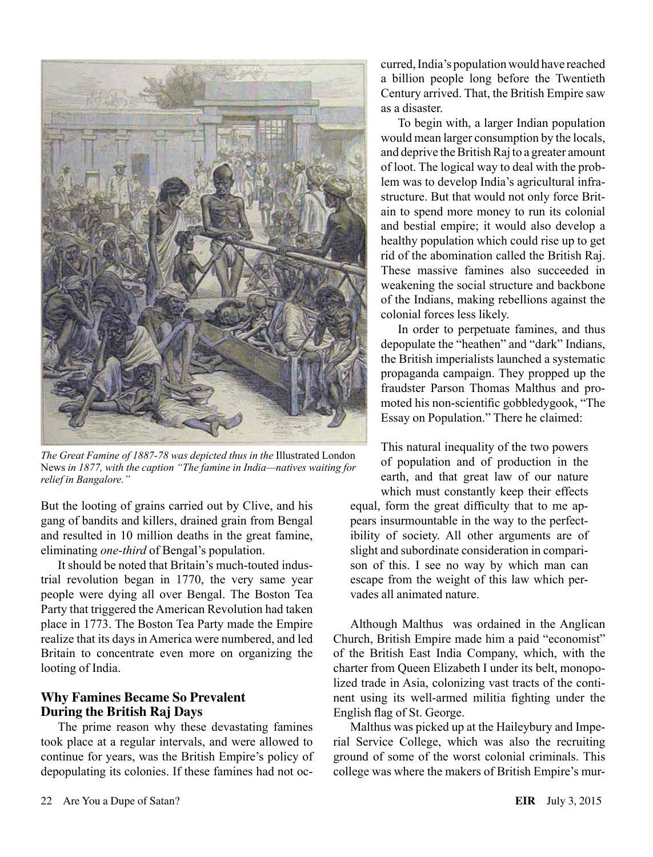

*The Great Famine of 1887-78 was depicted thus in the* Illustrated London News *in 1877, with the caption "The famine in India—natives waiting for relief in Bangalore."*

But the looting of grains carried out by Clive, and his gang of bandits and killers, drained grain from Bengal and resulted in 10 million deaths in the great famine, eliminating *one-third* of Bengal's population.

It should be noted that Britain's much-touted industrial revolution began in 1770, the very same year people were dying all over Bengal. The Boston Tea Party that triggered the American Revolution had taken place in 1773. The Boston Tea Party made the Empire realize that its days in America were numbered, and led Britain to concentrate even more on organizing the looting of India.

### **Why Famines Became So Prevalent During the British Raj Days**

The prime reason why these devastating famines took place at a regular intervals, and were allowed to continue for years, was the British Empire's policy of depopulating its colonies. If these famines had not oc-

curred, India's population would have reached a billion people long before the Twentieth Century arrived. That, the British Empire saw as a disaster.

To begin with, a larger Indian population would mean larger consumption by the locals, and deprive the British Raj to a greater amount of loot. The logical way to deal with the problem was to develop India's agricultural infrastructure. But that would not only force Britain to spend more money to run its colonial and bestial empire; it would also develop a healthy population which could rise up to get rid of the abomination called the British Raj. These massive famines also succeeded in weakening the social structure and backbone of the Indians, making rebellions against the colonial forces less likely.

In order to perpetuate famines, and thus depopulate the "heathen" and "dark" Indians, the British imperialists launched a systematic propaganda campaign. They propped up the fraudster Parson Thomas Malthus and promoted his non-scientific gobbledygook, "The Essay on Population." There he claimed:

This natural inequality of the two powers of population and of production in the earth, and that great law of our nature which must constantly keep their effects equal, form the great difficulty that to me appears insurmountable in the way to the perfectibility of society. All other arguments are of slight and subordinate consideration in comparison of this. I see no way by which man can escape from the weight of this law which pervades all animated nature.

Although Malthus was ordained in the Anglican Church, British Empire made him a paid "economist" of the British East India Company, which, with the charter from Queen Elizabeth I under its belt, monopolized trade in Asia, colonizing vast tracts of the continent using its well-armed militia fighting under the English flag of St. George.

Malthus was picked up at the Haileybury and Imperial Service College, which was also the recruiting ground of some of the worst colonial criminals. This college was where the makers of British Empire's mur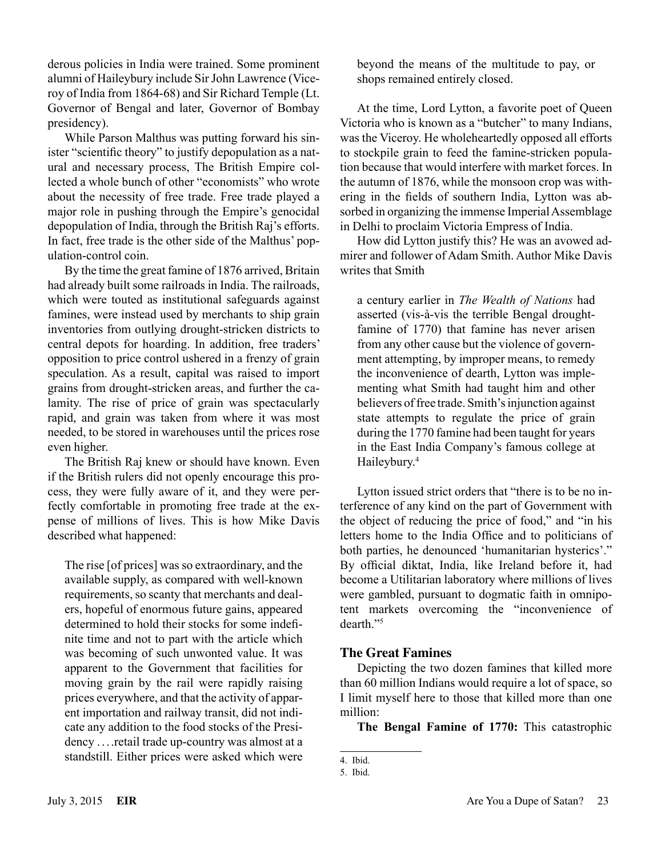derous policies in India were trained. Some prominent alumni of Haileybury include Sir John Lawrence (Viceroy of India from 1864-68) and Sir Richard Temple (Lt. Governor of Bengal and later, Governor of Bombay presidency).

While Parson Malthus was putting forward his sinister "scientific theory" to justify depopulation as a natural and necessary process, The British Empire collected a whole bunch of other "economists" who wrote about the necessity of free trade. Free trade played a major role in pushing through the Empire's genocidal depopulation of India, through the British Raj's efforts. In fact, free trade is the other side of the Malthus' population-control coin.

By the time the great famine of 1876 arrived, Britain had already built some railroads in India. The railroads, which were touted as institutional safeguards against famines, were instead used by merchants to ship grain inventories from outlying drought-stricken districts to central depots for hoarding. In addition, free traders' opposition to price control ushered in a frenzy of grain speculation. As a result, capital was raised to import grains from drought-stricken areas, and further the calamity. The rise of price of grain was spectacularly rapid, and grain was taken from where it was most needed, to be stored in warehouses until the prices rose even higher.

The British Raj knew or should have known. Even if the British rulers did not openly encourage this process, they were fully aware of it, and they were perfectly comfortable in promoting free trade at the expense of millions of lives. This is how Mike Davis described what happened:

The rise [of prices] was so extraordinary, and the available supply, as compared with well-known requirements, so scanty that merchants and dealers, hopeful of enormous future gains, appeared determined to hold their stocks for some indefinite time and not to part with the article which was becoming of such unwonted value. It was apparent to the Government that facilities for moving grain by the rail were rapidly raising prices everywhere, and that the activity of apparent importation and railway transit, did not indicate any addition to the food stocks of the Presidency . ...retail trade up-country was almost at a standstill. Either prices were asked which were

beyond the means of the multitude to pay, or shops remained entirely closed.

At the time, Lord Lytton, a favorite poet of Queen Victoria who is known as a "butcher" to many Indians, was the Viceroy. He wholeheartedly opposed all efforts to stockpile grain to feed the famine-stricken population because that would interfere with market forces. In the autumn of 1876, while the monsoon crop was withering in the fields of southern India, Lytton was absorbed in organizing the immense Imperial Assemblage in Delhi to proclaim Victoria Empress of India.

How did Lytton justify this? He was an avowed admirer and follower of Adam Smith. Author Mike Davis writes that Smith

a century earlier in *The Wealth of Nations* had asserted (vis-à-vis the terrible Bengal droughtfamine of 1770) that famine has never arisen from any other cause but the violence of government attempting, by improper means, to remedy the inconvenience of dearth, Lytton was implementing what Smith had taught him and other believers of free trade. Smith's injunction against state attempts to regulate the price of grain during the 1770 famine had been taught for years in the East India Company's famous college at Haileybury.<sup>4</sup>

Lytton issued strict orders that "there is to be no interference of any kind on the part of Government with the object of reducing the price of food," and "in his letters home to the India Office and to politicians of both parties, he denounced 'humanitarian hysterics'." By official diktat, India, like Ireland before it, had become a Utilitarian laboratory where millions of lives were gambled, pursuant to dogmatic faith in omnipotent markets overcoming the "inconvenience of dearth."5

## **The Great Famines**

Depicting the two dozen famines that killed more than 60 million Indians would require a lot of space, so I limit myself here to those that killed more than one million:

**The Bengal Famine of 1770:** This catastrophic

<sup>4.</sup> Ibid.

<sup>5.</sup> Ibid.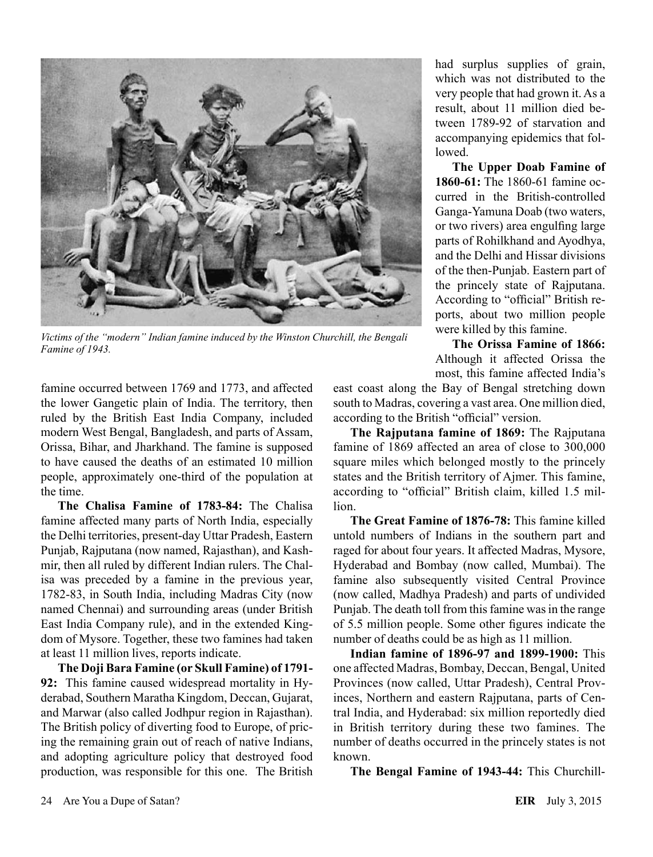

*Victims of the "modern" Indian famine induced by the Winston Churchill, the Bengali Famine of 1943.*

famine occurred between 1769 and 1773, and affected the lower Gangetic plain of India. The territory, then ruled by the British East India Company, included modern West Bengal, Bangladesh, and parts of Assam, Orissa, Bihar, and Jharkhand. The famine is supposed to have caused the deaths of an estimated 10 million people, approximately one-third of the population at the time.

**The Chalisa Famine of 1783-84:** The Chalisa famine affected many parts of North India, especially the Delhi territories, present-day Uttar Pradesh, Eastern Punjab, Rajputana (now named, Rajasthan), and Kashmir, then all ruled by different Indian rulers. The Chalisa was preceded by a famine in the previous year, 1782-83, in South India, including Madras City (now named Chennai) and surrounding areas (under British East India Company rule), and in the extended Kingdom of Mysore. Together, these two famines had taken at least 11 million lives, reports indicate.

**The Doji Bara Famine (or Skull Famine) of 1791- 92:** This famine caused widespread mortality in Hyderabad, Southern Maratha Kingdom, Deccan, Gujarat, and Marwar (also called Jodhpur region in Rajasthan). The British policy of diverting food to Europe, of pricing the remaining grain out of reach of native Indians, and adopting agriculture policy that destroyed food production, was responsible for this one. The British had surplus supplies of grain, which was not distributed to the very people that had grown it. As a result, about 11 million died between 1789-92 of starvation and accompanying epidemics that followed.

**The Upper Doab Famine of 1860-61:** The 1860-61 famine occurred in the British-controlled Ganga-Yamuna Doab (two waters, or two rivers) area engulfing large parts of Rohilkhand and Ayodhya, and the Delhi and Hissar divisions of the then-Punjab. Eastern part of the princely state of Rajputana. According to "official" British reports, about two million people were killed by this famine.

**The Orissa Famine of 1866:** Although it affected Orissa the most, this famine affected India's

east coast along the Bay of Bengal stretching down south to Madras, covering a vast area. One million died, according to the British "official" version.

**The Rajputana famine of 1869:** The Rajputana famine of 1869 affected an area of close to 300,000 square miles which belonged mostly to the princely states and the British territory of Ajmer. This famine, according to "official" British claim, killed 1.5 million.

**The Great Famine of 1876-78:** This famine killed untold numbers of Indians in the southern part and raged for about four years. It affected Madras, Mysore, Hyderabad and Bombay (now called, Mumbai). The famine also subsequently visited Central Province (now called, Madhya Pradesh) and parts of undivided Punjab. The death toll from this famine was in the range of 5.5 million people. Some other figures indicate the number of deaths could be as high as 11 million.

**Indian famine of 1896-97 and 1899-1900:** This one affected Madras, Bombay, Deccan, Bengal, United Provinces (now called, Uttar Pradesh), Central Provinces, Northern and eastern Rajputana, parts of Central India, and Hyderabad: six million reportedly died in British territory during these two famines. The number of deaths occurred in the princely states is not known.

**The Bengal Famine of 1943-44:** This Churchill-